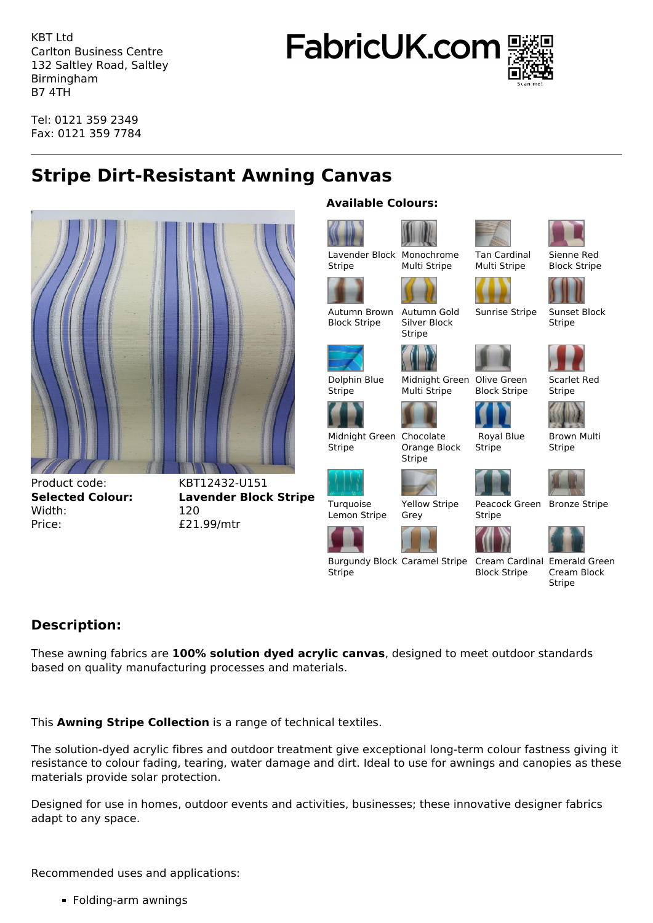KBT Ltd Carlton Business Centre 132 Saltley Road, Saltley Birmingham B7 4TH

**FabricUK.com** 



Tel: 0121 359 2349 Fax: 0121 359 7784

## **Stripe Dirt-Resistant Awning Canvas**



Product code: KBT12432-U151 Width: 120 Price:  $£21.99/mtr$ 

**Selected Colour: Lavender Block Stripe**

## **Available Colours:**



## **Description:**

These awning fabrics are **100% solution dyed acrylic canvas**, designed to meet outdoor standards based on quality manufacturing processes and materials.

This **Awning Stripe Collection** is a range of technical textiles.

The solution-dyed acrylic fibres and outdoor treatment give exceptional long-term colour fastness giving it resistance to colour fading, tearing, water damage and dirt. Ideal to use for awnings and canopies as these materials provide solar protection.

Designed for use in homes, outdoor events and activities, businesses; these innovative designer fabrics adapt to any space.

Recommended uses and applications:

**Folding-arm awnings** 

Cream Block

Block Stripe

Scarlet Red

Brown Multi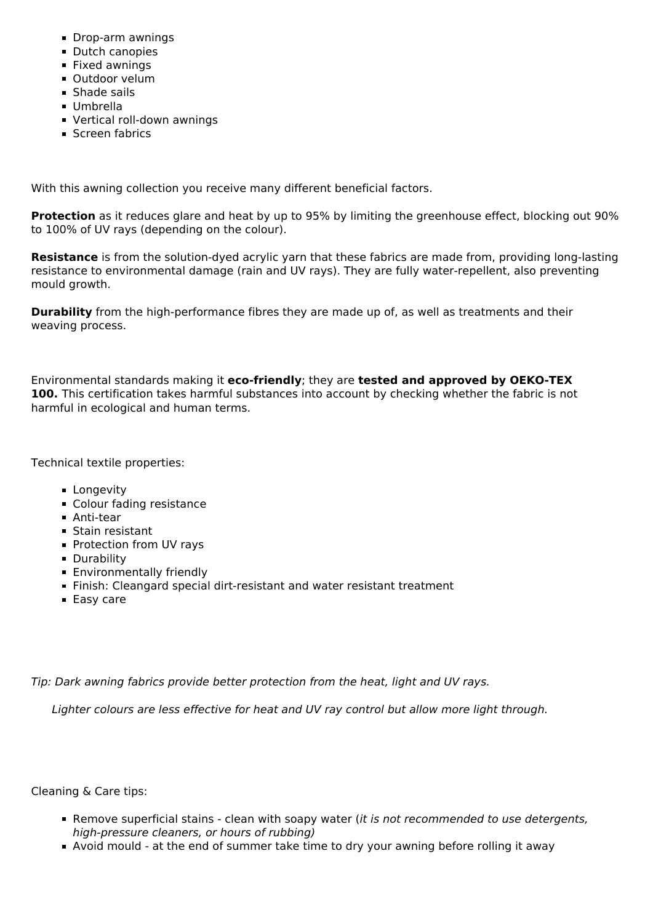- Drop-arm awnings
- **Dutch canopies**
- **Fixed awnings**
- Outdoor velum
- **Shade sails**
- Umbrella
- Vertical roll-down awnings
- **Screen fabrics**

With this awning collection you receive many different beneficial factors.

**Protection** as it reduces glare and heat by up to 95% by limiting the greenhouse effect, blocking out 90% to 100% of UV rays (depending on the colour).

**Resistance** is from the solution-dyed acrylic yarn that these fabrics are made from, providing long-lasting resistance to environmental damage (rain and UV rays). They are fully water-repellent, also preventing mould growth.

**Durability** from the high-performance fibres they are made up of, as well as treatments and their weaving process.

Environmental standards making it **eco-friendly**; they are **tested and approved by OEKO-TEX 100.** This certification takes harmful substances into account by checking whether the fabric is not harmful in ecological and human terms.

Technical textile properties:

- **Longevity**
- **Colour fading resistance**
- Anti-tear
- Stain resistant
- **Protection from UV rays**
- **Durability**
- **Environmentally friendly**
- Finish: Cleangard special dirt-resistant and water resistant treatment
- Easy care

*Tip: Dark awning fabrics provide better protection from the heat, light and UV rays.*

 *Lighter colours are less effective for heat and UV ray control but allow more light through.*

Cleaning & Care tips:

- Remove superficial stains clean with soapy water (*it is not recommended to use detergents, high-pressure cleaners, or hours of rubbing)*
- Avoid mould at the end of summer take time to dry your awning before rolling it away